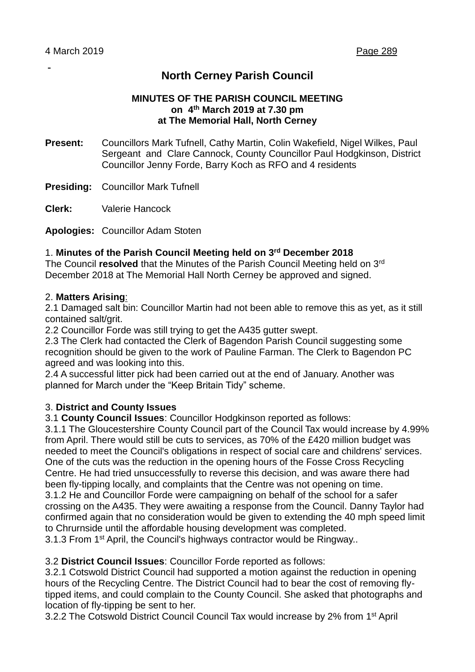# **North Cerney Parish Council**

## **MINUTES OF THE PARISH COUNCIL MEETING on 4th March 2019 at 7.30 pm at The Memorial Hall, North Cerney**

**Present:** Councillors Mark Tufnell, Cathy Martin, Colin Wakefield, Nigel Wilkes, Paul Sergeant and Clare Cannock, County Councillor Paul Hodgkinson, District Councillor Jenny Forde, Barry Koch as RFO and 4 residents

**Presiding:** Councillor Mark Tufnell

**Clerk:** Valerie Hancock

**Apologies:** Councillor Adam Stoten

#### 1. **Minutes of the Parish Council Meeting held on 3rd December 2018**

The Council **resolved** that the Minutes of the Parish Council Meeting held on 3rd December 2018 at The Memorial Hall North Cerney be approved and signed.

#### 2. **Matters Arising**:

2.1 Damaged salt bin: Councillor Martin had not been able to remove this as yet, as it still contained salt/grit.

2.2 Councillor Forde was still trying to get the A435 gutter swept.

2.3 The Clerk had contacted the Clerk of Bagendon Parish Council suggesting some recognition should be given to the work of Pauline Farman. The Clerk to Bagendon PC agreed and was looking into this.

2.4 A successful litter pick had been carried out at the end of January. Another was planned for March under the "Keep Britain Tidy" scheme.

## 3. **District and County Issues**

3.1 **County Council Issues**: Councillor Hodgkinson reported as follows:

3.1.1 The Gloucestershire County Council part of the Council Tax would increase by 4.99% from April. There would still be cuts to services, as 70% of the £420 million budget was needed to meet the Council's obligations in respect of social care and childrens' services. One of the cuts was the reduction in the opening hours of the Fosse Cross Recycling Centre. He had tried unsuccessfully to reverse this decision, and was aware there had been fly-tipping locally, and complaints that the Centre was not opening on time. 3.1.2 He and Councillor Forde were campaigning on behalf of the school for a safer crossing on the A435. They were awaiting a response from the Council. Danny Taylor had confirmed again that no consideration would be given to extending the 40 mph speed limit to Chrurnside until the affordable housing development was completed. 3.1.3 From 1st April, the Council's highways contractor would be Ringway..

#### 3.2 **District Council Issues**: Councillor Forde reported as follows:

3.2.1 Cotswold District Council had supported a motion against the reduction in opening hours of the Recycling Centre. The District Council had to bear the cost of removing flytipped items, and could complain to the County Council. She asked that photographs and location of fly-tipping be sent to her.

3.2.2 The Cotswold District Council Council Tax would increase by 2% from 1<sup>st</sup> April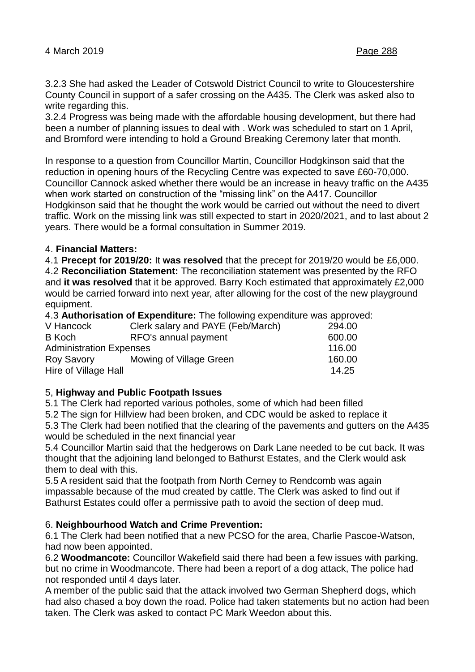3.2.3 She had asked the Leader of Cotswold District Council to write to Gloucestershire County Council in support of a safer crossing on the A435. The Clerk was asked also to write regarding this.

3.2.4 Progress was being made with the affordable housing development, but there had been a number of planning issues to deal with . Work was scheduled to start on 1 April, and Bromford were intending to hold a Ground Breaking Ceremony later that month.

In response to a question from Councillor Martin, Councillor Hodgkinson said that the reduction in opening hours of the Recycling Centre was expected to save £60-70,000. Councillor Cannock asked whether there would be an increase in heavy traffic on the A435 when work started on construction of the "missing link" on the A417. Councillor Hodgkinson said that he thought the work would be carried out without the need to divert traffic. Work on the missing link was still expected to start in 2020/2021, and to last about 2 years. There would be a formal consultation in Summer 2019.

## 4. **Financial Matters:**

4.1 **Precept for 2019/20:** It **was resolved** that the precept for 2019/20 would be £6,000. 4.2 **Reconciliation Statement:** The reconciliation statement was presented by the RFO and **it was resolved** that it be approved. Barry Koch estimated that approximately £2,000 would be carried forward into next year, after allowing for the cost of the new playground equipment.

4.3 **Authorisation of Expenditure:** The following expenditure was approved:

| Clerk salary and PAYE (Feb/March) | 294.00                         |
|-----------------------------------|--------------------------------|
| RFO's annual payment              | 600.00                         |
|                                   | 116.00                         |
| Mowing of Village Green           | 160.00                         |
|                                   | 14.25                          |
|                                   | <b>Administration Expenses</b> |

## 5, **Highway and Public Footpath Issues**

5.1 The Clerk had reported various potholes, some of which had been filled

5.2 The sign for Hillview had been broken, and CDC would be asked to replace it

5.3 The Clerk had been notified that the clearing of the pavements and gutters on the A435 would be scheduled in the next financial year

5.4 Councillor Martin said that the hedgerows on Dark Lane needed to be cut back. It was thought that the adjoining land belonged to Bathurst Estates, and the Clerk would ask them to deal with this.

5.5 A resident said that the footpath from North Cerney to Rendcomb was again impassable because of the mud created by cattle. The Clerk was asked to find out if Bathurst Estates could offer a permissive path to avoid the section of deep mud.

## 6. **Neighbourhood Watch and Crime Prevention:**

6.1 The Clerk had been notified that a new PCSO for the area, Charlie Pascoe-Watson, had now been appointed.

6.2 **Woodmancote:** Councillor Wakefield said there had been a few issues with parking, but no crime in Woodmancote. There had been a report of a dog attack, The police had not responded until 4 days later.

A member of the public said that the attack involved two German Shepherd dogs, which had also chased a boy down the road. Police had taken statements but no action had been taken. The Clerk was asked to contact PC Mark Weedon about this.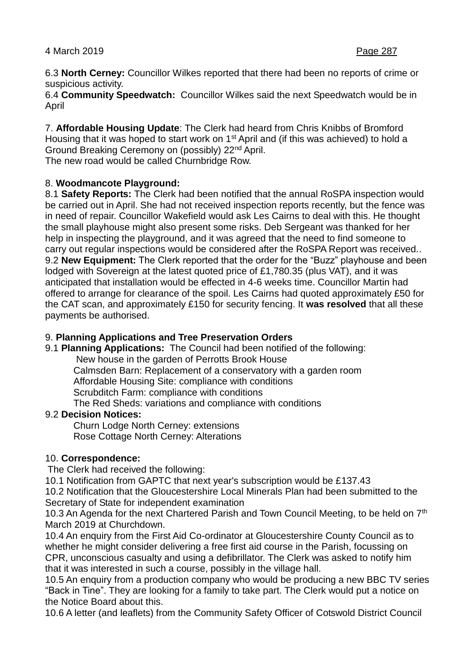6.3 **North Cerney:** Councillor Wilkes reported that there had been no reports of crime or suspicious activity.

6.4 **Community Speedwatch:** Councillor Wilkes said the next Speedwatch would be in April

7. **Affordable Housing Update**: The Clerk had heard from Chris Knibbs of Bromford Housing that it was hoped to start work on 1st April and (if this was achieved) to hold a Ground Breaking Ceremony on (possibly) 22nd April. The new road would be called Churnbridge Row.

## 8. **Woodmancote Playground:**

8.1 **Safety Reports:** The Clerk had been notified that the annual RoSPA inspection would be carried out in April. She had not received inspection reports recently, but the fence was in need of repair. Councillor Wakefield would ask Les Cairns to deal with this. He thought the small playhouse might also present some risks. Deb Sergeant was thanked for her help in inspecting the playground, and it was agreed that the need to find someone to carry out regular inspections would be considered after the RoSPA Report was received.. 9.2 **New Equipment:** The Clerk reported that the order for the "Buzz" playhouse and been lodged with Sovereign at the latest quoted price of £1,780.35 (plus VAT), and it was anticipated that installation would be effected in 4-6 weeks time. Councillor Martin had offered to arrange for clearance of the spoil. Les Cairns had quoted approximately £50 for the CAT scan, and approximately £150 for security fencing. It **was resolved** that all these payments be authorised.

## 9. **Planning Applications and Tree Preservation Orders**

9.1 **Planning Applications:** The Council had been notified of the following: New house in the garden of Perrotts Brook House Calmsden Barn: Replacement of a conservatory with a garden room Affordable Housing Site: compliance with conditions Scrubditch Farm: compliance with conditions The Red Sheds: variations and compliance with conditions 9.2 **Decision Notices:** 

 Churn Lodge North Cerney: extensions Rose Cottage North Cerney: Alterations

# 10. **Correspondence:**

The Clerk had received the following:

10.1 Notification from GAPTC that next year's subscription would be £137.43 10.2 Notification that the Gloucestershire Local Minerals Plan had been submitted to the Secretary of State for independent examination

10.3 An Agenda for the next Chartered Parish and Town Council Meeting, to be held on 7<sup>th</sup> March 2019 at Churchdown.

10.4 An enquiry from the First Aid Co-ordinator at Gloucestershire County Council as to whether he might consider delivering a free first aid course in the Parish, focussing on CPR, unconscious casualty and using a defibrillator. The Clerk was asked to notify him that it was interested in such a course, possibly in the village hall.

10.5 An enquiry from a production company who would be producing a new BBC TV series "Back in Tine". They are looking for a family to take part. The Clerk would put a notice on the Notice Board about this.

10.6 A letter (and leaflets) from the Community Safety Officer of Cotswold District Council